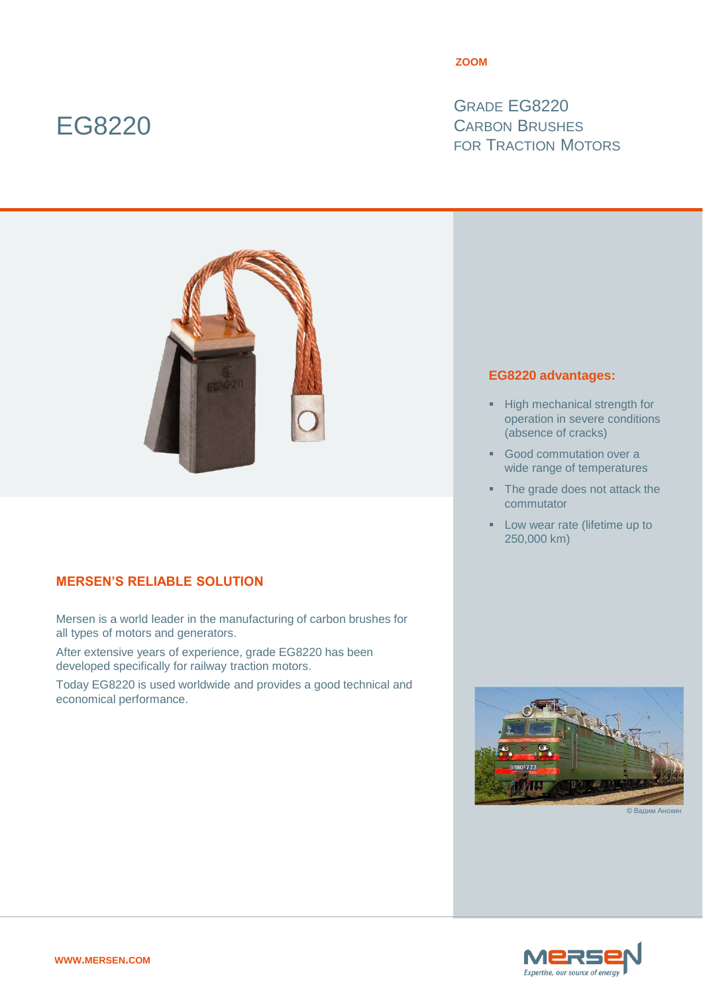# EG8220

#### **ZOOM**

GRADE EG8220 CARBON BRUSHES FOR TRACTION MOTORS



## **MERSEN'S RELIABLE SOLUTION**

Mersen is a world leader in the manufacturing of carbon brushes for all types of motors and generators.

After extensive years of experience, grade EG8220 has been developed specifically for railway traction motors.

Today EG8220 is used worldwide and provides a good technical and economical performance.

### **EG8220 advantages:**

- **High mechanical strength for** operation in severe conditions (absence of cracks)
- Good commutation over a wide range of temperatures
- The grade does not attack the commutator
- **Low wear rate (lifetime up to** 250,000 km)



 $©$  Вал